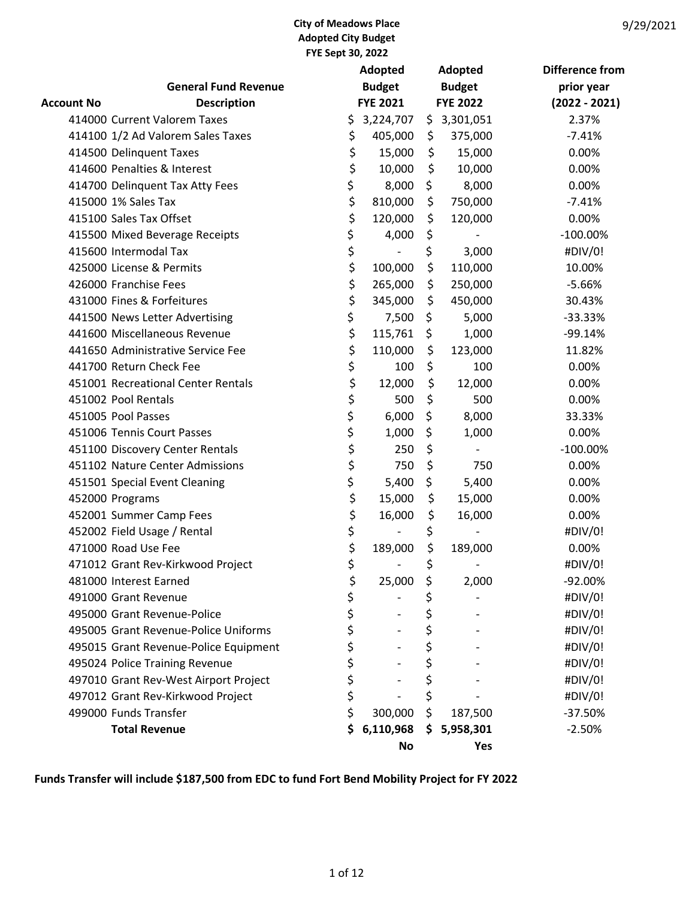| 9/29/2021 |
|-----------|
|-----------|

|                   |                                       | Adopted |                 |    | Adopted         | <b>Difference from</b> |
|-------------------|---------------------------------------|---------|-----------------|----|-----------------|------------------------|
|                   | <b>General Fund Revenue</b>           |         | <b>Budget</b>   |    | <b>Budget</b>   | prior year             |
| <b>Account No</b> | <b>Description</b>                    |         | <b>FYE 2021</b> |    | <b>FYE 2022</b> | $(2022 - 2021)$        |
|                   | 414000 Current Valorem Taxes          | \$      | 3,224,707       |    | \$3,301,051     | 2.37%                  |
|                   | 414100 1/2 Ad Valorem Sales Taxes     | \$      | 405,000         | \$ | 375,000         | $-7.41%$               |
|                   | 414500 Delinquent Taxes               | \$      | 15,000          | \$ | 15,000          | 0.00%                  |
|                   | 414600 Penalties & Interest           | \$      | 10,000          | \$ | 10,000          | 0.00%                  |
|                   | 414700 Delinquent Tax Atty Fees       | \$      | 8,000           | \$ | 8,000           | 0.00%                  |
|                   | 415000 1% Sales Tax                   | \$      | 810,000         | \$ | 750,000         | $-7.41%$               |
|                   | 415100 Sales Tax Offset               | \$      | 120,000         | \$ | 120,000         | 0.00%                  |
|                   | 415500 Mixed Beverage Receipts        | \$      | 4,000           | \$ |                 | $-100.00\%$            |
|                   | 415600 Intermodal Tax                 | \$      |                 | \$ | 3,000           | #DIV/0!                |
|                   | 425000 License & Permits              | \$      | 100,000         | \$ | 110,000         | 10.00%                 |
|                   | 426000 Franchise Fees                 | \$      | 265,000         | \$ | 250,000         | $-5.66%$               |
|                   | 431000 Fines & Forfeitures            | \$      | 345,000         | \$ | 450,000         | 30.43%                 |
|                   | 441500 News Letter Advertising        | \$      | 7,500           | \$ | 5,000           | $-33.33%$              |
|                   | 441600 Miscellaneous Revenue          | \$      | 115,761         | \$ | 1,000           | $-99.14%$              |
|                   | 441650 Administrative Service Fee     | \$      | 110,000         | \$ | 123,000         | 11.82%                 |
|                   | 441700 Return Check Fee               | \$      | 100             | \$ | 100             | 0.00%                  |
|                   | 451001 Recreational Center Rentals    | \$      | 12,000          | \$ | 12,000          | 0.00%                  |
|                   | 451002 Pool Rentals                   | \$      | 500             | \$ | 500             | 0.00%                  |
|                   | 451005 Pool Passes                    | \$      | 6,000           | \$ | 8,000           | 33.33%                 |
|                   | 451006 Tennis Court Passes            | \$      | 1,000           | \$ | 1,000           | 0.00%                  |
|                   | 451100 Discovery Center Rentals       | \$      | 250             | \$ |                 | $-100.00\%$            |
|                   | 451102 Nature Center Admissions       | \$      | 750             | \$ | 750             | 0.00%                  |
|                   | 451501 Special Event Cleaning         | \$      | 5,400           | \$ | 5,400           | 0.00%                  |
|                   | 452000 Programs                       | \$      | 15,000          | \$ | 15,000          | 0.00%                  |
|                   | 452001 Summer Camp Fees               | \$      | 16,000          | \$ | 16,000          | 0.00%                  |
|                   | 452002 Field Usage / Rental           | \$      |                 | \$ |                 | #DIV/0!                |
|                   | 471000 Road Use Fee                   | \$      | 189,000         | \$ | 189,000         | 0.00%                  |
|                   | 471012 Grant Rev-Kirkwood Project     | \$      |                 | \$ |                 | #DIV/0!                |
|                   | 481000 Interest Earned                | \$      | 25,000          | \$ | 2,000           | $-92.00%$              |
|                   | 491000 Grant Revenue                  | \$      |                 | \$ |                 | #DIV/0!                |
|                   | 495000 Grant Revenue-Police           | \$      |                 | \$ |                 | #DIV/0!                |
|                   | 495005 Grant Revenue-Police Uniforms  | \$      |                 | \$ |                 | #DIV/0!                |
|                   | 495015 Grant Revenue-Police Equipment | \$      |                 | \$ |                 | #DIV/0!                |
|                   | 495024 Police Training Revenue        | \$      |                 | \$ |                 | #DIV/0!                |
|                   | 497010 Grant Rev-West Airport Project | \$      |                 | \$ |                 | #DIV/0!                |
|                   | 497012 Grant Rev-Kirkwood Project     | \$      |                 | \$ |                 | #DIV/0!                |
|                   | 499000 Funds Transfer                 | \$      | 300,000         | \$ | 187,500         | $-37.50%$              |
|                   | <b>Total Revenue</b>                  | \$      | 6,110,968       | \$ | 5,958,301       | $-2.50%$               |
|                   |                                       |         | <b>No</b>       |    | Yes             |                        |

Funds Transfer will include \$187,500 from EDC to fund Fort Bend Mobility Project for FY 2022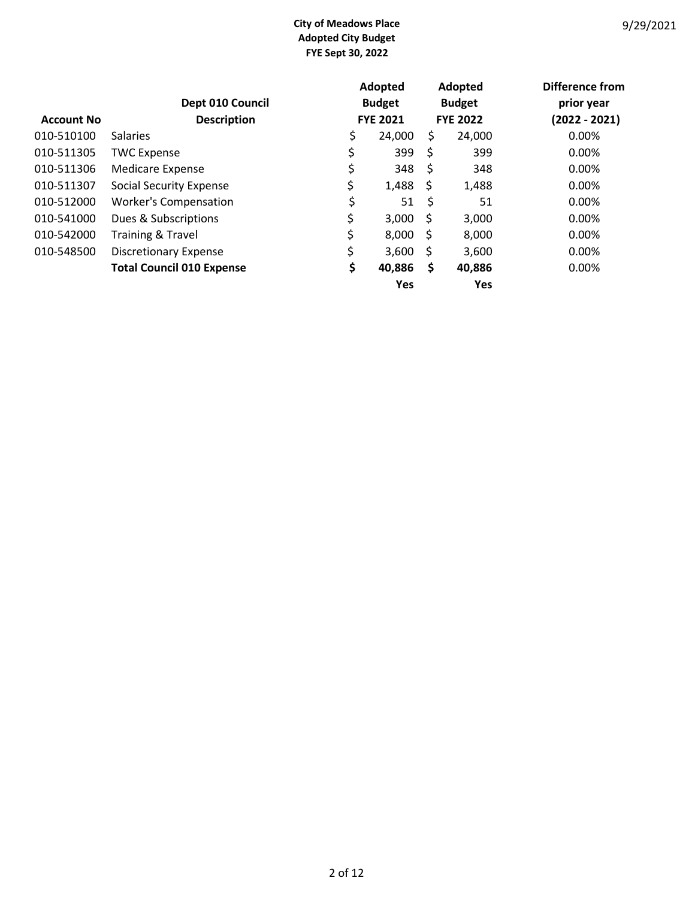|                   |                                        |    | Adopted         |     | Adopted         | Difference from               |
|-------------------|----------------------------------------|----|-----------------|-----|-----------------|-------------------------------|
|                   | Dept 010 Council<br><b>Description</b> |    | <b>Budget</b>   |     | <b>Budget</b>   | prior year<br>$(2022 - 2021)$ |
| <b>Account No</b> |                                        |    | <b>FYE 2021</b> |     | <b>FYE 2022</b> |                               |
| 010-510100        | <b>Salaries</b>                        | \$ | 24,000          | \$  | 24,000          | 0.00%                         |
| 010-511305        | <b>TWC Expense</b>                     | \$ | 399             | \$  | 399             | 0.00%                         |
| 010-511306        | <b>Medicare Expense</b>                | \$ | 348             | -\$ | 348             | 0.00%                         |
| 010-511307        | <b>Social Security Expense</b>         | \$ | 1,488           | -\$ | 1,488           | $0.00\%$                      |
| 010-512000        | <b>Worker's Compensation</b>           | \$ | 51              | \$  | 51              | 0.00%                         |
| 010-541000        | Dues & Subscriptions                   | \$ | 3,000           | \$  | 3,000           | 0.00%                         |
| 010-542000        | <b>Training &amp; Travel</b>           | \$ | 8,000           | -\$ | 8,000           | 0.00%                         |
| 010-548500        | <b>Discretionary Expense</b>           | \$ | 3,600           | \$  | 3,600           | 0.00%                         |
|                   | <b>Total Council 010 Expense</b>       | \$ | 40,886          | \$  | 40,886          | 0.00%                         |
|                   |                                        |    | Yes             |     | <b>Yes</b>      |                               |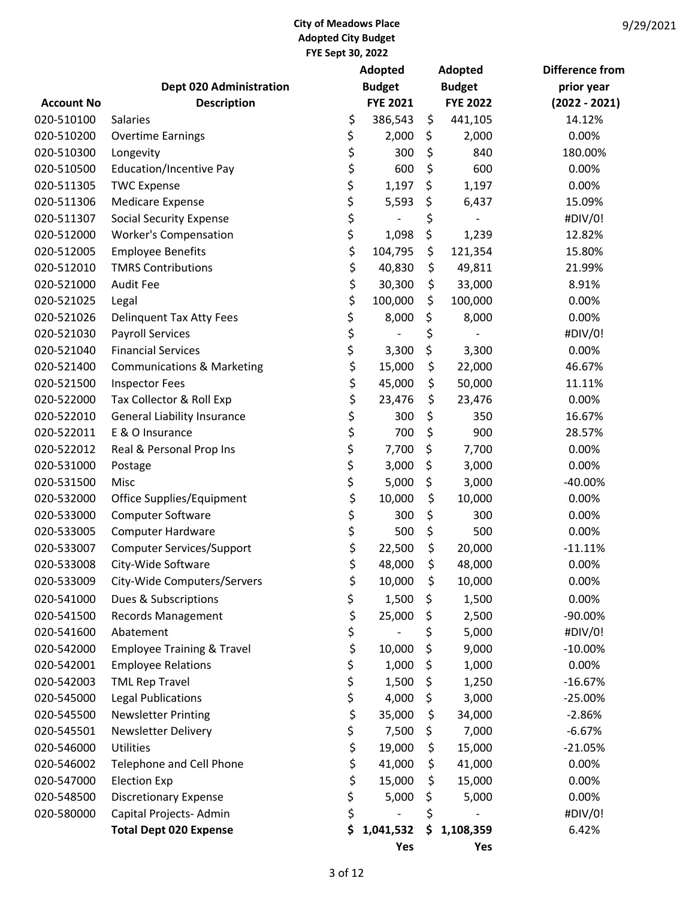|                   |                                       |    | Adopted         | <b>Adopted</b>  | <b>Difference from</b> |
|-------------------|---------------------------------------|----|-----------------|-----------------|------------------------|
|                   | <b>Dept 020 Administration</b>        |    | <b>Budget</b>   | <b>Budget</b>   | prior year             |
| <b>Account No</b> | <b>Description</b>                    |    | <b>FYE 2021</b> | <b>FYE 2022</b> | $(2022 - 2021)$        |
| 020-510100        | <b>Salaries</b>                       | \$ | 386,543         | \$<br>441,105   | 14.12%                 |
| 020-510200        | <b>Overtime Earnings</b>              | \$ | 2,000           | \$<br>2,000     | 0.00%                  |
| 020-510300        | Longevity                             | \$ | 300             | \$<br>840       | 180.00%                |
| 020-510500        | <b>Education/Incentive Pay</b>        | \$ | 600             | \$<br>600       | 0.00%                  |
| 020-511305        | <b>TWC Expense</b>                    | \$ | 1,197           | \$<br>1,197     | 0.00%                  |
| 020-511306        | <b>Medicare Expense</b>               | \$ | 5,593           | \$<br>6,437     | 15.09%                 |
| 020-511307        | <b>Social Security Expense</b>        | \$ |                 | \$              | #DIV/0!                |
| 020-512000        | <b>Worker's Compensation</b>          | \$ | 1,098           | \$<br>1,239     | 12.82%                 |
| 020-512005        | <b>Employee Benefits</b>              | \$ | 104,795         | \$<br>121,354   | 15.80%                 |
| 020-512010        | <b>TMRS Contributions</b>             | \$ | 40,830          | \$<br>49,811    | 21.99%                 |
| 020-521000        | <b>Audit Fee</b>                      | \$ | 30,300          | \$<br>33,000    | 8.91%                  |
| 020-521025        | Legal                                 | \$ | 100,000         | \$<br>100,000   | 0.00%                  |
| 020-521026        | <b>Delinquent Tax Atty Fees</b>       | \$ | 8,000           | \$<br>8,000     | 0.00%                  |
| 020-521030        | <b>Payroll Services</b>               | \$ |                 | \$              | #DIV/0!                |
| 020-521040        | <b>Financial Services</b>             | \$ | 3,300           | \$<br>3,300     | 0.00%                  |
| 020-521400        | <b>Communications &amp; Marketing</b> | \$ | 15,000          | \$<br>22,000    | 46.67%                 |
| 020-521500        | <b>Inspector Fees</b>                 | \$ | 45,000          | \$<br>50,000    | 11.11%                 |
| 020-522000        | Tax Collector & Roll Exp              | \$ | 23,476          | \$<br>23,476    | 0.00%                  |
| 020-522010        | <b>General Liability Insurance</b>    | \$ | 300             | \$<br>350       | 16.67%                 |
| 020-522011        | E & O Insurance                       | \$ | 700             | \$<br>900       | 28.57%                 |
| 020-522012        | Real & Personal Prop Ins              | \$ | 7,700           | \$<br>7,700     | 0.00%                  |
| 020-531000        | Postage                               | \$ | 3,000           | \$<br>3,000     | 0.00%                  |
| 020-531500        | Misc                                  | \$ | 5,000           | \$<br>3,000     | -40.00%                |
| 020-532000        | Office Supplies/Equipment             | \$ | 10,000          | \$<br>10,000    | 0.00%                  |
| 020-533000        | Computer Software                     | \$ | 300             | \$<br>300       | 0.00%                  |
| 020-533005        | <b>Computer Hardware</b>              | \$ | 500             | \$<br>500       | 0.00%                  |
| 020-533007        | <b>Computer Services/Support</b>      | \$ | 22,500          | \$<br>20,000    | $-11.11%$              |
| 020-533008        | City-Wide Software                    | \$ | 48,000          | \$<br>48,000    | 0.00%                  |
| 020-533009        | City-Wide Computers/Servers           | \$ | 10,000          | \$<br>10,000    | 0.00%                  |
| 020-541000        | Dues & Subscriptions                  | \$ | 1,500           | \$<br>1,500     | 0.00%                  |
| 020-541500        | Records Management                    | \$ | 25,000          | \$<br>2,500     | -90.00%                |
| 020-541600        | Abatement                             | \$ |                 | \$<br>5,000     | #DIV/0!                |
| 020-542000        | <b>Employee Training &amp; Travel</b> | \$ | 10,000          | \$<br>9,000     | $-10.00%$              |
| 020-542001        | <b>Employee Relations</b>             | \$ | 1,000           | \$<br>1,000     | 0.00%                  |
| 020-542003        | <b>TML Rep Travel</b>                 | \$ | 1,500           | \$<br>1,250     | $-16.67%$              |
| 020-545000        |                                       |    | 4,000           |                 | $-25.00%$              |
|                   | <b>Legal Publications</b>             | \$ |                 | \$<br>3,000     |                        |
| 020-545500        | <b>Newsletter Printing</b>            | \$ | 35,000          | \$<br>34,000    | $-2.86%$               |
| 020-545501        | <b>Newsletter Delivery</b>            | \$ | 7,500           | \$<br>7,000     | $-6.67%$               |
| 020-546000        | <b>Utilities</b>                      | \$ | 19,000          | \$<br>15,000    | $-21.05%$              |
| 020-546002        | Telephone and Cell Phone              | \$ | 41,000          | \$<br>41,000    | 0.00%                  |
| 020-547000        | <b>Election Exp</b>                   | \$ | 15,000          | \$<br>15,000    | 0.00%                  |
| 020-548500        | <b>Discretionary Expense</b>          | \$ | 5,000           | \$<br>5,000     | 0.00%                  |
| 020-580000        | Capital Projects-Admin                | \$ |                 | \$              | #DIV/0!                |
|                   | <b>Total Dept 020 Expense</b>         | \$ | 1,041,532       | \$<br>1,108,359 | 6.42%                  |
|                   |                                       |    | Yes             | Yes             |                        |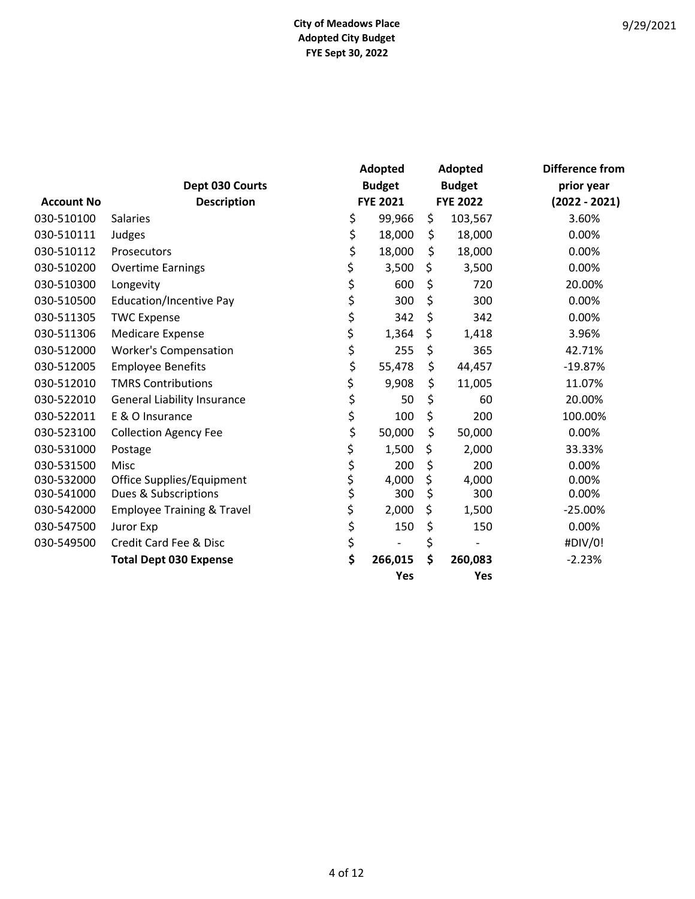|                   |                                       | Adopted  |                 | Adopted         | <b>Difference from</b> |
|-------------------|---------------------------------------|----------|-----------------|-----------------|------------------------|
|                   | Dept 030 Courts                       |          | <b>Budget</b>   | <b>Budget</b>   | prior year             |
| <b>Account No</b> | <b>Description</b>                    |          | <b>FYE 2021</b> | <b>FYE 2022</b> | $(2022 - 2021)$        |
| 030-510100        | <b>Salaries</b>                       | \$       | 99,966          | \$<br>103,567   | 3.60%                  |
| 030-510111        | Judges                                | \$       | 18,000          | \$<br>18,000    | 0.00%                  |
| 030-510112        | Prosecutors                           | \$       | 18,000          | \$<br>18,000    | 0.00%                  |
| 030-510200        | <b>Overtime Earnings</b>              | \$       | 3,500           | \$<br>3,500     | 0.00%                  |
| 030-510300        | Longevity                             | \$       | 600             | \$<br>720       | 20.00%                 |
| 030-510500        | <b>Education/Incentive Pay</b>        | \$       | 300             | \$<br>300       | 0.00%                  |
| 030-511305        | <b>TWC Expense</b>                    | \$       | 342             | \$<br>342       | 0.00%                  |
| 030-511306        | <b>Medicare Expense</b>               | \$       | 1,364           | \$<br>1,418     | 3.96%                  |
| 030-512000        | <b>Worker's Compensation</b>          | \$       | 255             | \$<br>365       | 42.71%                 |
| 030-512005        | <b>Employee Benefits</b>              | \$       | 55,478          | \$<br>44,457    | $-19.87%$              |
| 030-512010        | <b>TMRS Contributions</b>             | \$       | 9,908           | \$<br>11,005    | 11.07%                 |
| 030-522010        | <b>General Liability Insurance</b>    | \$       | 50              | \$<br>60        | 20.00%                 |
| 030-522011        | E & O Insurance                       | \$       | 100             | \$<br>200       | 100.00%                |
| 030-523100        | <b>Collection Agency Fee</b>          | \$       | 50,000          | \$<br>50,000    | 0.00%                  |
| 030-531000        | Postage                               | \$       | 1,500           | \$<br>2,000     | 33.33%                 |
| 030-531500        | Misc                                  | \$<br>\$ | 200             | \$<br>200       | 0.00%                  |
| 030-532000        | Office Supplies/Equipment             |          | 4,000           | \$<br>4,000     | 0.00%                  |
| 030-541000        | Dues & Subscriptions                  | \$       | 300             | \$<br>300       | 0.00%                  |
| 030-542000        | <b>Employee Training &amp; Travel</b> | \$       | 2,000           | \$<br>1,500     | $-25.00%$              |
| 030-547500        | Juror Exp                             | \$       | 150             | \$<br>150       | 0.00%                  |
| 030-549500        | Credit Card Fee & Disc                | \$       |                 | \$              | #DIV/0!                |
|                   | <b>Total Dept 030 Expense</b>         | \$       | 266,015         | \$<br>260,083   | $-2.23%$               |
|                   |                                       |          | Yes             | Yes             |                        |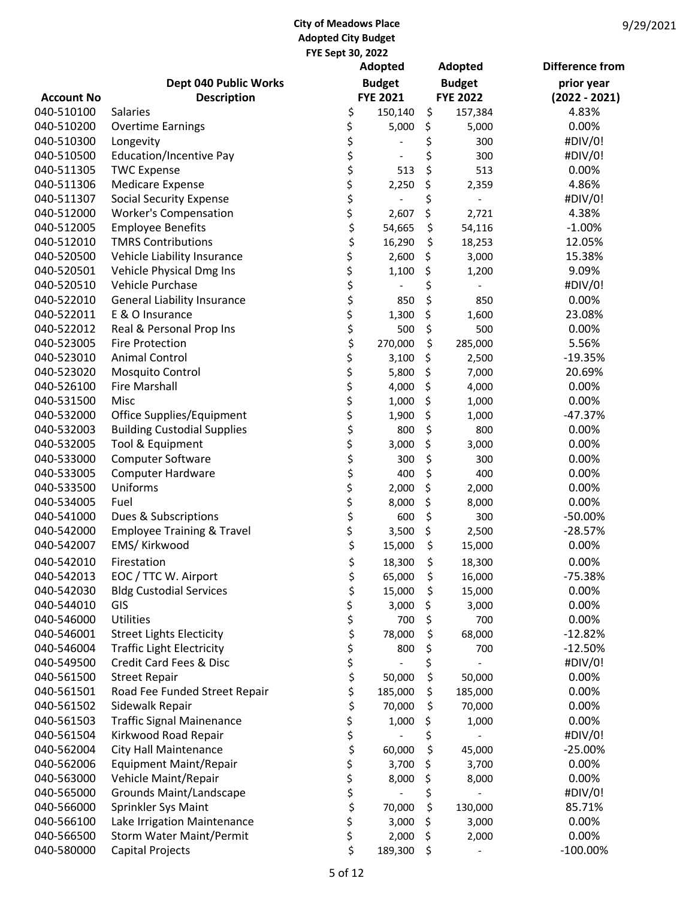|                   |                                       | Adopted                        | <b>Adopted</b>  | <b>Difference from</b> |
|-------------------|---------------------------------------|--------------------------------|-----------------|------------------------|
|                   | Dept 040 Public Works                 | <b>Budget</b>                  | <b>Budget</b>   | prior year             |
| <b>Account No</b> | <b>Description</b>                    | <b>FYE 2021</b>                | <b>FYE 2022</b> | $(2022 - 2021)$        |
| 040-510100        | <b>Salaries</b>                       | \$<br>150,140                  | \$<br>157,384   | 4.83%                  |
| 040-510200        | <b>Overtime Earnings</b>              | \$<br>5,000                    | \$<br>5,000     | 0.00%                  |
| 040-510300        | Longevity                             | \$                             | \$<br>300       | #DIV/0!                |
| 040-510500        | <b>Education/Incentive Pay</b>        | \$<br>$\overline{\phantom{a}}$ | \$<br>300       | #DIV/0!                |
| 040-511305        | <b>TWC Expense</b>                    | \$<br>513                      | \$<br>513       | 0.00%                  |
| 040-511306        | <b>Medicare Expense</b>               | \$<br>2,250                    | \$<br>2,359     | 4.86%                  |
| 040-511307        | <b>Social Security Expense</b>        | \$                             | \$              | #DIV/0!                |
| 040-512000        | <b>Worker's Compensation</b>          | \$<br>2,607                    | \$<br>2,721     | 4.38%                  |
| 040-512005        | <b>Employee Benefits</b>              | \$<br>54,665                   | \$<br>54,116    | $-1.00%$               |
| 040-512010        | <b>TMRS Contributions</b>             | \$<br>16,290                   | \$<br>18,253    | 12.05%                 |
| 040-520500        | Vehicle Liability Insurance           | \$<br>2,600                    | \$<br>3,000     | 15.38%                 |
| 040-520501        | Vehicle Physical Dmg Ins              | \$<br>1,100                    | \$<br>1,200     | 9.09%                  |
| 040-520510        | Vehicle Purchase                      | \$                             | \$              | #DIV/0!                |
| 040-522010        | <b>General Liability Insurance</b>    | \$<br>850                      | \$<br>850       | 0.00%                  |
| 040-522011        | E & O Insurance                       | \$<br>1,300                    | \$<br>1,600     | 23.08%                 |
| 040-522012        | Real & Personal Prop Ins              | \$<br>500                      | \$<br>500       | 0.00%                  |
| 040-523005        | <b>Fire Protection</b>                | \$<br>270,000                  | \$<br>285,000   | 5.56%                  |
| 040-523010        | <b>Animal Control</b>                 | \$<br>3,100                    | \$<br>2,500     | $-19.35%$              |
| 040-523020        | Mosquito Control                      | \$<br>5,800                    | \$<br>7,000     | 20.69%                 |
| 040-526100        | <b>Fire Marshall</b>                  | \$<br>4,000                    | \$<br>4,000     | 0.00%                  |
| 040-531500        | Misc                                  | \$<br>1,000                    | \$<br>1,000     | 0.00%                  |
| 040-532000        | Office Supplies/Equipment             | \$<br>1,900                    | \$<br>1,000     | $-47.37%$              |
| 040-532003        | <b>Building Custodial Supplies</b>    | \$<br>800                      | \$<br>800       | 0.00%                  |
| 040-532005        | Tool & Equipment                      | \$<br>3,000                    | \$<br>3,000     | 0.00%                  |
| 040-533000        | <b>Computer Software</b>              | \$<br>300                      | \$<br>300       | 0.00%                  |
| 040-533005        | <b>Computer Hardware</b>              | \$<br>400                      | \$<br>400       | 0.00%                  |
| 040-533500        | Uniforms                              | \$<br>2,000                    | \$<br>2,000     | 0.00%                  |
| 040-534005        | Fuel                                  | \$<br>8,000                    | \$<br>8,000     | 0.00%                  |
| 040-541000        | Dues & Subscriptions                  | \$<br>600                      | \$<br>300       | $-50.00%$              |
| 040-542000        | <b>Employee Training &amp; Travel</b> | \$<br>3,500                    | \$<br>2,500     | $-28.57%$              |
| 040-542007        | EMS/ Kirkwood                         | \$<br>15,000                   | \$<br>15,000    | 0.00%                  |
| 040-542010        | Firestation                           | \$<br>18,300                   | \$<br>18,300    | 0.00%                  |
| 040-542013        | EOC / TTC W. Airport                  | \$<br>65,000                   | \$<br>16,000    | $-75.38%$              |
| 040-542030        | <b>Bldg Custodial Services</b>        | \$<br>15,000                   | \$<br>15,000    | 0.00%                  |
| 040-544010        | GIS                                   | \$<br>3,000                    | \$<br>3,000     | 0.00%                  |
| 040-546000        | <b>Utilities</b>                      | \$<br>700                      | \$<br>700       | 0.00%                  |
| 040-546001        | <b>Street Lights Electicity</b>       | \$<br>78,000                   | \$<br>68,000    | $-12.82%$              |
| 040-546004        | <b>Traffic Light Electricity</b>      | \$<br>800                      | \$<br>700       | $-12.50%$              |
| 040-549500        | Credit Card Fees & Disc               | \$                             | \$              | #DIV/0!                |
| 040-561500        | <b>Street Repair</b>                  | \$<br>50,000                   | \$<br>50,000    | 0.00%                  |
| 040-561501        | Road Fee Funded Street Repair         | \$<br>185,000                  | \$<br>185,000   | 0.00%                  |
| 040-561502        | Sidewalk Repair                       | \$<br>70,000                   | \$<br>70,000    | 0.00%                  |
| 040-561503        | <b>Traffic Signal Mainenance</b>      | \$<br>1,000                    | \$<br>1,000     | 0.00%                  |
| 040-561504        | Kirkwood Road Repair                  | \$                             | \$              | #DIV/0!                |
| 040-562004        | <b>City Hall Maintenance</b>          | \$<br>60,000                   | \$<br>45,000    | $-25.00%$              |
| 040-562006        | <b>Equipment Maint/Repair</b>         | \$<br>3,700                    | \$<br>3,700     | 0.00%                  |
| 040-563000        | Vehicle Maint/Repair                  | \$<br>8,000                    | \$<br>8,000     | 0.00%                  |
| 040-565000        | Grounds Maint/Landscape               | \$                             | \$              | #DIV/0!                |
| 040-566000        | Sprinkler Sys Maint                   | \$<br>70,000                   | \$<br>130,000   | 85.71%                 |
| 040-566100        | Lake Irrigation Maintenance           | \$<br>3,000                    | \$<br>3,000     | 0.00%                  |
| 040-566500        | <b>Storm Water Maint/Permit</b>       | \$<br>2,000                    | \$<br>2,000     | 0.00%                  |
| 040-580000        | <b>Capital Projects</b>               | \$<br>189,300                  | \$              | $-100.00\%$            |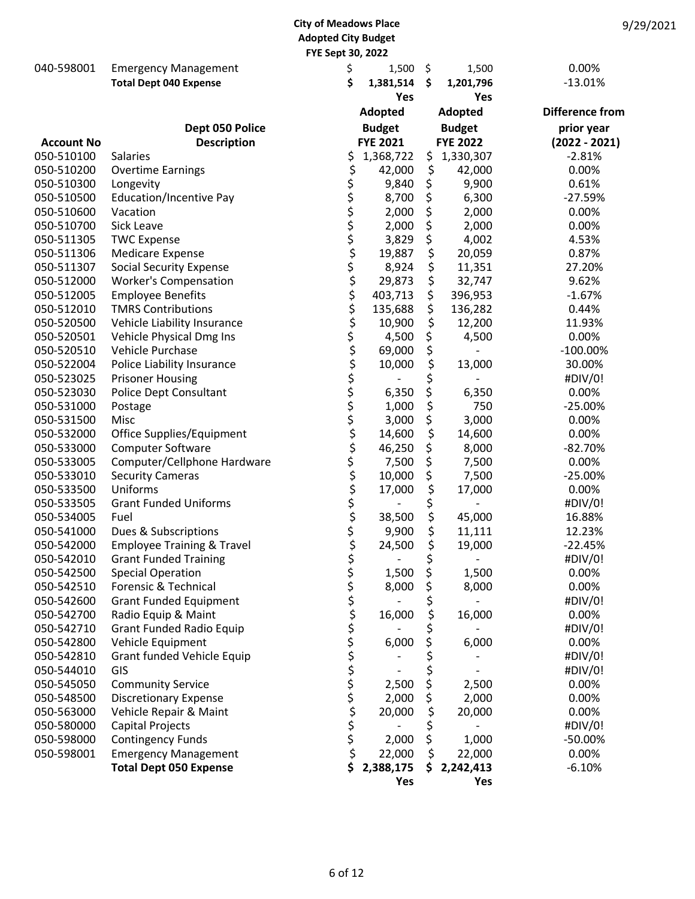|                   |                                       | $1 - 3$ cpt $30, 2022$   |                 |            |                 |                        |
|-------------------|---------------------------------------|--------------------------|-----------------|------------|-----------------|------------------------|
| 040-598001        | <b>Emergency Management</b>           | \$                       | 1,500           | $\zeta$    | 1,500           | 0.00%                  |
|                   | <b>Total Dept 040 Expense</b>         | \$                       | 1,381,514       | \$         | 1,201,796       | $-13.01%$              |
|                   |                                       |                          |                 | <b>Yes</b> | Yes             |                        |
|                   |                                       |                          | Adopted         |            | Adopted         | <b>Difference from</b> |
|                   | Dept 050 Police                       |                          | <b>Budget</b>   |            | <b>Budget</b>   | prior year             |
| <b>Account No</b> | <b>Description</b>                    |                          | <b>FYE 2021</b> |            | <b>FYE 2022</b> | $(2022 - 2021)$        |
| 050-510100        | Salaries                              | \$                       | 1,368,722       | \$         | 1,330,307       | $-2.81%$               |
| 050-510200        | <b>Overtime Earnings</b>              | \$                       | 42,000          | \$         | 42,000          | 0.00%                  |
| 050-510300        | Longevity                             |                          | 9,840           | \$         | 9,900           | 0.61%                  |
| 050-510500        | Education/Incentive Pay               | やややややかいかいかかかかかかかかかかかかかかか | 8,700           | \$         | 6,300           | $-27.59%$              |
| 050-510600        | Vacation                              |                          | 2,000           | \$         | 2,000           | 0.00%                  |
| 050-510700        | Sick Leave                            |                          | 2,000           | \$         | 2,000           | 0.00%                  |
| 050-511305        | <b>TWC Expense</b>                    |                          | 3,829           | \$         | 4,002           | 4.53%                  |
| 050-511306        | <b>Medicare Expense</b>               |                          | 19,887          | \$         | 20,059          | 0.87%                  |
| 050-511307        | <b>Social Security Expense</b>        |                          | 8,924           | \$         | 11,351          | 27.20%                 |
| 050-512000        | <b>Worker's Compensation</b>          |                          | 29,873          | \$         | 32,747          | 9.62%                  |
| 050-512005        | <b>Employee Benefits</b>              |                          | 403,713         | \$         | 396,953         | $-1.67%$               |
| 050-512010        | <b>TMRS Contributions</b>             |                          | 135,688         | \$         | 136,282         | 0.44%                  |
| 050-520500        | Vehicle Liability Insurance           |                          | 10,900          | \$         | 12,200          | 11.93%                 |
| 050-520501        | Vehicle Physical Dmg Ins              |                          | 4,500           | \$         | 4,500           | 0.00%                  |
| 050-520510        | Vehicle Purchase                      |                          | 69,000          | \$         |                 | $-100.00\%$            |
| 050-522004        | Police Liability Insurance            |                          | 10,000          | \$         | 13,000          | 30.00%                 |
| 050-523025        | <b>Prisoner Housing</b>               |                          |                 | \$         |                 | #DIV/0!                |
| 050-523030        | Police Dept Consultant                |                          | 6,350           | \$         | 6,350           | 0.00%                  |
| 050-531000        | Postage                               |                          | 1,000           | \$         | 750             | $-25.00%$              |
| 050-531500        | Misc                                  |                          | 3,000           | \$         | 3,000           | 0.00%                  |
| 050-532000        | Office Supplies/Equipment             |                          | 14,600          | \$         | 14,600          | 0.00%                  |
| 050-533000        | Computer Software                     |                          | 46,250          | \$         | 8,000           | $-82.70%$              |
| 050-533005        | Computer/Cellphone Hardware           |                          | 7,500           | \$         | 7,500           | 0.00%                  |
| 050-533010        | <b>Security Cameras</b>               |                          | 10,000          | \$         | 7,500           | $-25.00%$              |
| 050-533500        | Uniforms                              |                          | 17,000          | \$         | 17,000          | 0.00%                  |
| 050-533505        | <b>Grant Funded Uniforms</b>          |                          |                 | \$         |                 | #DIV/0!                |
| 050-534005        | Fuel                                  |                          | 38,500          | \$         | 45,000          | 16.88%                 |
| 050-541000        | Dues & Subscriptions                  |                          | 9,900           | \$         | 11,111          | 12.23%                 |
| 050-542000        | <b>Employee Training &amp; Travel</b> |                          | 24,500          | \$         | 19,000          | $-22.45%$              |
| 050-542010        | <b>Grant Funded Training</b>          | \$                       |                 | \$         |                 | #DIV/0!                |
| 050-542500        | <b>Special Operation</b>              |                          | 1,500           | \$         | 1,500           | 0.00%                  |
| 050-542510        | Forensic & Technical                  |                          | 8,000           | \$         | 8,000           | 0.00%                  |
| 050-542600        | <b>Grant Funded Equipment</b>         |                          |                 | \$         |                 | #DIV/0!                |
| 050-542700        | Radio Equip & Maint                   |                          | 16,000          | \$         | 16,000          | 0.00%                  |
| 050-542710        | <b>Grant Funded Radio Equip</b>       |                          |                 |            |                 | #DIV/0!                |
| 050-542800        | Vehicle Equipment                     |                          | 6,000           |            | 6,000           | 0.00%                  |
| 050-542810        | Grant funded Vehicle Equip            |                          |                 |            |                 | #DIV/0!                |
| 050-544010        | GIS                                   |                          |                 |            |                 | #DIV/0!                |
| 050-545050        | <b>Community Service</b>              |                          | 2,500           | \$         | 2,500           | 0.00%                  |
| 050-548500        | <b>Discretionary Expense</b>          |                          | 2,000           | \$         | 2,000           | 0.00%                  |
| 050-563000        | Vehicle Repair & Maint                |                          | 20,000          | \$         | 20,000          | 0.00%                  |
| 050-580000        | Capital Projects                      | やらそうかい そうさん こうかん         |                 | \$         |                 | #DIV/0!                |
| 050-598000        | <b>Contingency Funds</b>              |                          | 2,000           | \$         | 1,000           | $-50.00%$              |
| 050-598001        | <b>Emergency Management</b>           |                          | 22,000          | \$         | 22,000          | 0.00%                  |
|                   | <b>Total Dept 050 Expense</b>         | \$                       | 2,388,175       | \$         | 2,242,413       | $-6.10%$               |
|                   |                                       |                          |                 | Yes        | Yes             |                        |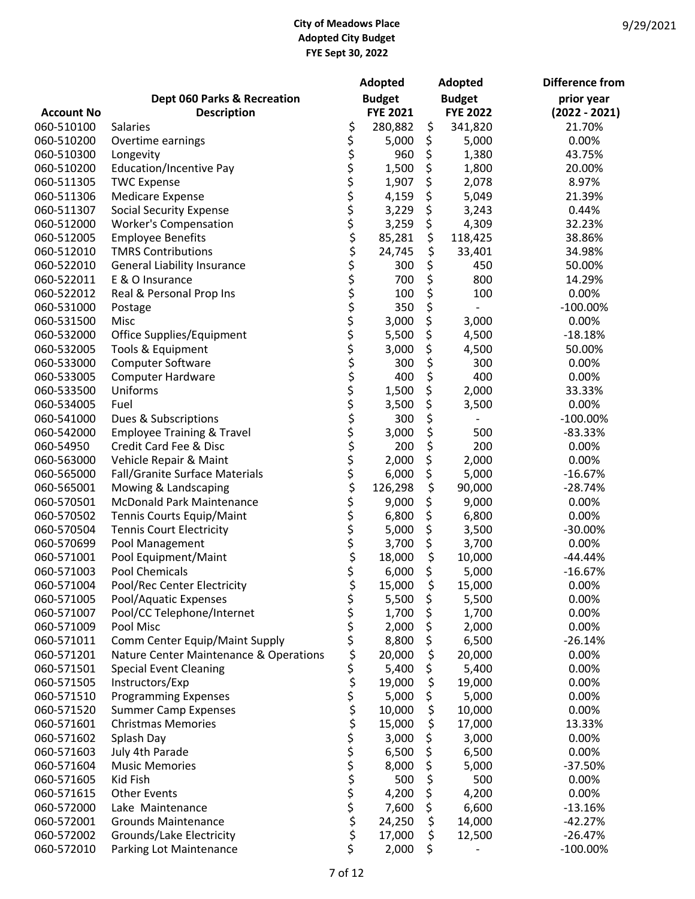|                   |                                        |                                | Adopted         | Adopted         | <b>Difference from</b> |
|-------------------|----------------------------------------|--------------------------------|-----------------|-----------------|------------------------|
|                   | Dept 060 Parks & Recreation            |                                | <b>Budget</b>   | <b>Budget</b>   | prior year             |
| <b>Account No</b> | <b>Description</b>                     |                                | <b>FYE 2021</b> | <b>FYE 2022</b> | $(2022 - 2021)$        |
| 060-510100        | Salaries                               | \$                             | 280,882         | \$<br>341,820   | 21.70%                 |
| 060-510200        | Overtime earnings                      |                                | 5,000           | \$<br>5,000     | 0.00%                  |
| 060-510300        | Longevity                              |                                | 960             | \$<br>1,380     | 43.75%                 |
| 060-510200        | <b>Education/Incentive Pay</b>         |                                | 1,500           | \$<br>1,800     | 20.00%                 |
| 060-511305        | <b>TWC Expense</b>                     |                                | 1,907           | \$<br>2,078     | 8.97%                  |
| 060-511306        | <b>Medicare Expense</b>                |                                | 4,159           | \$<br>5,049     | 21.39%                 |
| 060-511307        | <b>Social Security Expense</b>         |                                | 3,229           | \$<br>3,243     | 0.44%                  |
| 060-512000        | <b>Worker's Compensation</b>           |                                | 3,259           | \$<br>4,309     | 32.23%                 |
| 060-512005        | <b>Employee Benefits</b>               |                                | 85,281          | \$<br>118,425   | 38.86%                 |
| 060-512010        | <b>TMRS Contributions</b>              |                                | 24,745          | \$<br>33,401    | 34.98%                 |
| 060-522010        | <b>General Liability Insurance</b>     |                                | 300             | \$<br>450       | 50.00%                 |
| 060-522011        | E & O Insurance                        |                                | 700             | \$<br>800       | 14.29%                 |
| 060-522012        | Real & Personal Prop Ins               |                                | 100             | \$<br>100       | 0.00%                  |
| 060-531000        | Postage                                |                                | 350             | \$              | $-100.00\%$            |
| 060-531500        | Misc                                   |                                | 3,000           | \$<br>3,000     | 0.00%                  |
| 060-532000        | Office Supplies/Equipment              |                                | 5,500           | \$<br>4,500     | $-18.18%$              |
| 060-532005        | Tools & Equipment                      |                                | 3,000           | \$<br>4,500     | 50.00%                 |
| 060-533000        | Computer Software                      |                                | 300             | \$<br>300       | 0.00%                  |
| 060-533005        | <b>Computer Hardware</b>               |                                | 400             | \$<br>400       | 0.00%                  |
| 060-533500        | Uniforms                               |                                | 1,500           | \$<br>2,000     | 33.33%                 |
| 060-534005        | Fuel                                   |                                | 3,500           | \$<br>3,500     | 0.00%                  |
| 060-541000        | Dues & Subscriptions                   |                                | 300             | \$              | $-100.00\%$            |
| 060-542000        | <b>Employee Training &amp; Travel</b>  |                                | 3,000           | \$<br>500       | $-83.33%$              |
| 060-54950         | Credit Card Fee & Disc                 |                                | 200             | \$<br>200       | 0.00%                  |
| 060-563000        | Vehicle Repair & Maint                 |                                | 2,000           | \$<br>2,000     | 0.00%                  |
| 060-565000        | Fall/Granite Surface Materials         | ささささささささささささささささささささささうさうさささささ | 6,000           | \$<br>5,000     | $-16.67%$              |
| 060-565001        | Mowing & Landscaping                   |                                | 126,298         | \$<br>90,000    | $-28.74%$              |
| 060-570501        | McDonald Park Maintenance              |                                | 9,000           | \$<br>9,000     | 0.00%                  |
| 060-570502        | Tennis Courts Equip/Maint              |                                | 6,800           | \$<br>6,800     | 0.00%                  |
| 060-570504        | <b>Tennis Court Electricity</b>        |                                | 5,000           | \$<br>3,500     | $-30.00%$              |
| 060-570699        | Pool Management                        |                                | 3,700           | \$<br>3,700     | 0.00%                  |
| 060-571001        | Pool Equipment/Maint                   |                                | 18,000          | \$<br>10,000    | $-44.44%$              |
| 060-571003        | <b>Pool Chemicals</b>                  |                                | 6,000           | \$<br>5,000     | $-16.67%$              |
| 060-571004        | Pool/Rec Center Electricity            | ς                              | 15,000          | \$<br>15,000    | 0.00%                  |
| 060-571005        | Pool/Aquatic Expenses                  | \$                             | 5,500           | \$<br>5,500     | 0.00%                  |
| 060-571007        | Pool/CC Telephone/Internet             | \$                             | 1,700           | \$<br>1,700     | 0.00%                  |
| 060-571009        | Pool Misc                              | \$                             | 2,000           | \$<br>2,000     | 0.00%                  |
| 060-571011        | Comm Center Equip/Maint Supply         | \$                             | 8,800           | \$<br>6,500     | $-26.14%$              |
| 060-571201        | Nature Center Maintenance & Operations | さやや                            | 20,000          | \$<br>20,000    | 0.00%                  |
| 060-571501        | <b>Special Event Cleaning</b>          |                                | 5,400           | \$<br>5,400     | 0.00%                  |
| 060-571505        | Instructors/Exp                        |                                | 19,000          | \$<br>19,000    | 0.00%                  |
| 060-571510        | <b>Programming Expenses</b>            |                                | 5,000           | \$<br>5,000     | 0.00%                  |
| 060-571520        | <b>Summer Camp Expenses</b>            | \$<br>\$                       | 10,000          | \$<br>10,000    | 0.00%                  |
| 060-571601        | <b>Christmas Memories</b>              |                                | 15,000          | \$<br>17,000    | 13.33%                 |
| 060-571602        | Splash Day                             | \$                             | 3,000           | \$<br>3,000     | 0.00%                  |
| 060-571603        | July 4th Parade                        |                                | 6,500           | \$<br>6,500     | 0.00%                  |
| 060-571604        | <b>Music Memories</b>                  | ひとうけつかく                        | 8,000           | \$<br>5,000     | $-37.50%$              |
| 060-571605        | Kid Fish                               |                                | 500             | \$<br>500       | 0.00%                  |
| 060-571615        | <b>Other Events</b>                    |                                | 4,200           | \$<br>4,200     | 0.00%                  |
| 060-572000        | Lake Maintenance                       |                                | 7,600           | \$<br>6,600     | $-13.16%$              |
| 060-572001        | <b>Grounds Maintenance</b>             |                                | 24,250          | \$<br>14,000    | $-42.27%$              |
| 060-572002        | Grounds/Lake Electricity               |                                | 17,000          | \$<br>12,500    | $-26.47%$              |
| 060-572010        | Parking Lot Maintenance                | \$                             | 2,000           | \$              | $-100.00\%$            |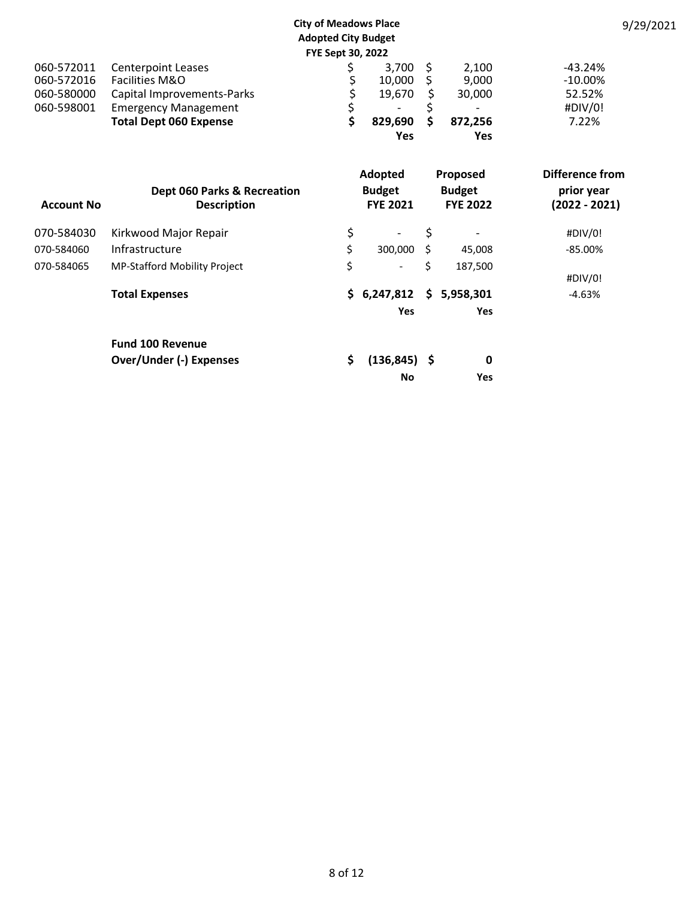|                          |                                                           | <b>City of Meadows Place</b><br><b>Adopted City Budget</b><br>FYE Sept 30, 2022 |                                  |          |                                  | 9/29/2021                     |
|--------------------------|-----------------------------------------------------------|---------------------------------------------------------------------------------|----------------------------------|----------|----------------------------------|-------------------------------|
| 060-572011<br>060-572016 | <b>Centerpoint Leases</b><br><b>Facilities M&amp;O</b>    | \$<br>Ş                                                                         | 3,700<br>10,000                  | \$<br>Ş  | 2,100<br>9,000                   | $-43.24%$<br>$-10.00%$        |
| 060-580000<br>060-598001 | Capital Improvements-Parks<br><b>Emergency Management</b> | \$<br>\$                                                                        | 19,670<br>-                      | \$<br>\$ | 30,000                           | 52.52%<br>#DIV/0!             |
|                          | <b>Total Dept 060 Expense</b>                             | \$                                                                              | 829,690<br><b>Yes</b>            | \$       | 872,256<br><b>Yes</b>            | 7.22%                         |
|                          |                                                           |                                                                                 | Adopted                          |          | Proposed                         | <b>Difference from</b>        |
| <b>Account No</b>        | Dept 060 Parks & Recreation<br><b>Description</b>         |                                                                                 | <b>Budget</b><br><b>FYE 2021</b> |          | <b>Budget</b><br><b>FYE 2022</b> | prior year<br>$(2022 - 2021)$ |
| 070-584030               | Kirkwood Major Repair                                     | \$                                                                              | $\overline{\phantom{a}}$         | \$       |                                  | #DIV/0!                       |
| 070-584060               | Infrastructure                                            | \$                                                                              | 300,000                          | \$       | 45,008                           | $-85.00%$                     |
| 070-584065               | MP-Stafford Mobility Project                              | \$                                                                              |                                  | Ś.       | 187,500                          | #DIV/0!                       |
|                          | <b>Total Expenses</b>                                     |                                                                                 | \$6,247,812                      | S.       | 5,958,301                        | $-4.63%$                      |
|                          |                                                           |                                                                                 | Yes                              |          | Yes                              |                               |
|                          | <b>Fund 100 Revenue</b>                                   |                                                                                 |                                  |          |                                  |                               |
|                          | <b>Over/Under (-) Expenses</b>                            | \$                                                                              | $(136, 845)$ \$                  |          | 0                                |                               |

No Yes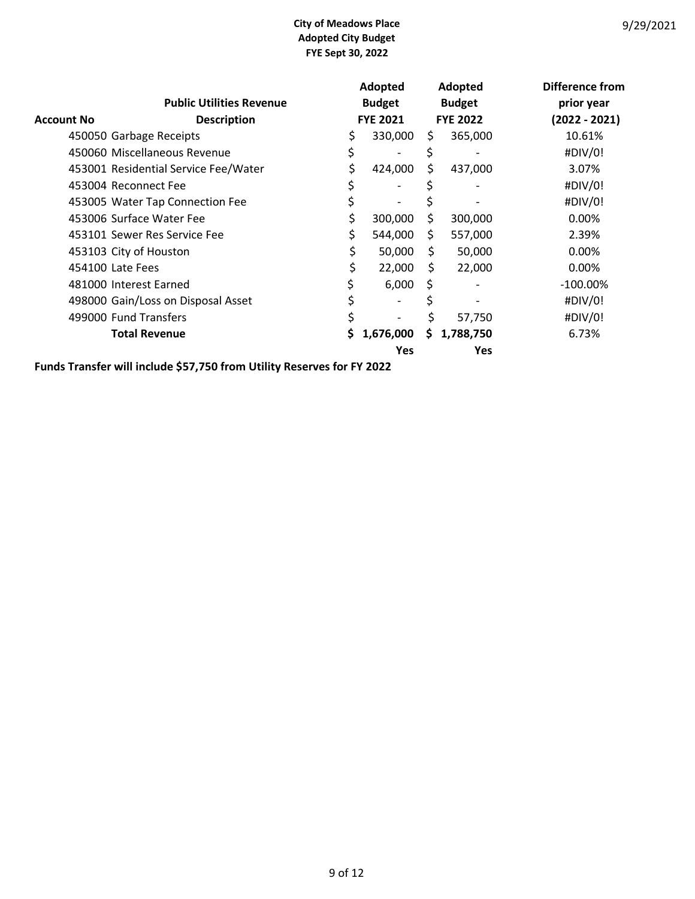|                   |                                      |    | Adopted         |    | Adopted         | Difference from |
|-------------------|--------------------------------------|----|-----------------|----|-----------------|-----------------|
|                   | <b>Public Utilities Revenue</b>      |    | <b>Budget</b>   |    | <b>Budget</b>   | prior year      |
| <b>Account No</b> | <b>Description</b>                   |    | <b>FYE 2021</b> |    | <b>FYE 2022</b> | $(2022 - 2021)$ |
|                   | 450050 Garbage Receipts              |    | 330,000         | S. | 365,000         | 10.61%          |
|                   | 450060 Miscellaneous Revenue         | \$ |                 | Ş  |                 | #DIV/0!         |
|                   | 453001 Residential Service Fee/Water | \$ | 424,000         | Ś. | 437,000         | 3.07%           |
|                   | 453004 Reconnect Fee                 |    |                 |    |                 | #DIV/0!         |
|                   | 453005 Water Tap Connection Fee      |    |                 |    |                 | #DIV/0!         |
|                   | 453006 Surface Water Fee             | \$ | 300,000         | \$ | 300,000         | 0.00%           |
|                   | 453101 Sewer Res Service Fee         | \$ | 544,000         | \$ | 557,000         | 2.39%           |
|                   | 453103 City of Houston               | \$ | 50,000          | \$ | 50,000          | 0.00%           |
|                   | 454100 Late Fees                     | \$ | 22,000          | \$ | 22,000          | 0.00%           |
|                   | 481000 Interest Earned               |    | 6,000           | \$ |                 | $-100.00\%$     |
|                   | 498000 Gain/Loss on Disposal Asset   |    |                 | S  |                 | #DIV/0!         |
|                   | 499000 Fund Transfers                | Ś  |                 | Ś  | 57,750          | #DIV/0!         |
|                   | <b>Total Revenue</b>                 | S  | 1,676,000       | S. | 1,788,750       | 6.73%           |
|                   |                                      |    | Yes             |    | Yes             |                 |

Funds Transfer will include \$57,750 from Utility Reserves for FY 2022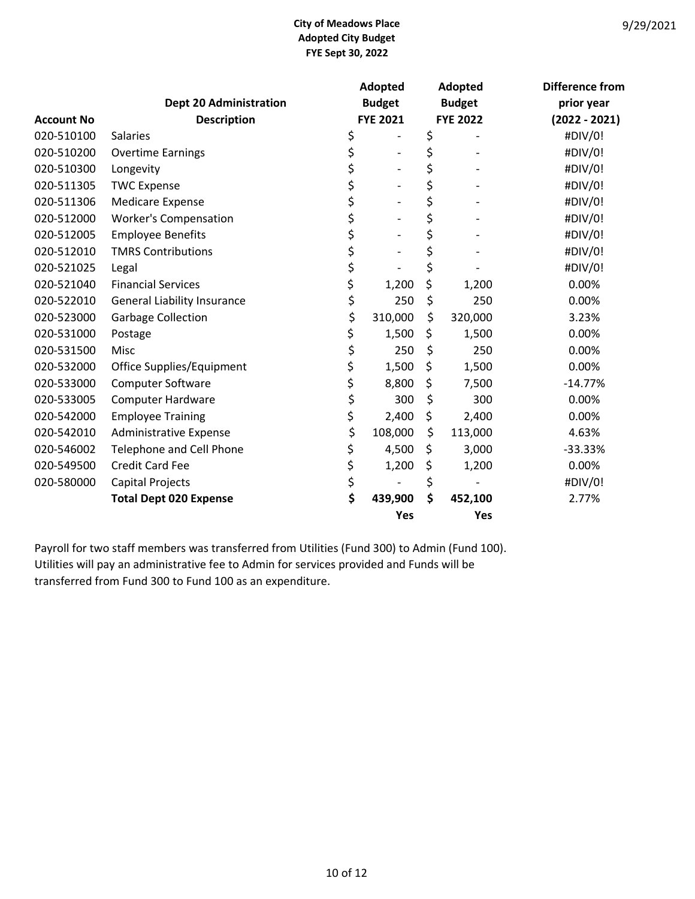|                   |                                    |                 | Adopted                  | Adopted         | <b>Difference from</b> |
|-------------------|------------------------------------|-----------------|--------------------------|-----------------|------------------------|
|                   | <b>Dept 20 Administration</b>      |                 | <b>Budget</b>            | <b>Budget</b>   | prior year             |
| <b>Account No</b> | <b>Description</b>                 | <b>FYE 2021</b> |                          | <b>FYE 2022</b> | $(2022 - 2021)$        |
| 020-510100        | <b>Salaries</b>                    | \$              |                          | \$              | #DIV/0!                |
| 020-510200        | <b>Overtime Earnings</b>           | \$              | $\overline{\phantom{a}}$ | \$              | #DIV/0!                |
| 020-510300        | Longevity                          | \$              | $\qquad \qquad -$        | \$              | #DIV/0!                |
| 020-511305        | <b>TWC Expense</b>                 | \$              |                          | \$              | #DIV/0!                |
| 020-511306        | <b>Medicare Expense</b>            | \$              | $\overline{a}$           | \$              | #DIV/0!                |
| 020-512000        | <b>Worker's Compensation</b>       | \$              | $\overline{\phantom{a}}$ | \$              | #DIV/0!                |
| 020-512005        | <b>Employee Benefits</b>           | \$              | $\qquad \qquad -$        | \$              | #DIV/0!                |
| 020-512010        | <b>TMRS Contributions</b>          | \$              | $\overline{\phantom{0}}$ | \$              | #DIV/0!                |
| 020-521025        | Legal                              | \$              |                          | \$              | #DIV/0!                |
| 020-521040        | <b>Financial Services</b>          | \$              | 1,200                    | \$<br>1,200     | 0.00%                  |
| 020-522010        | <b>General Liability Insurance</b> | \$              | 250                      | \$<br>250       | 0.00%                  |
| 020-523000        | <b>Garbage Collection</b>          | \$              | 310,000                  | \$<br>320,000   | 3.23%                  |
| 020-531000        | Postage                            | \$              | 1,500                    | \$<br>1,500     | 0.00%                  |
| 020-531500        | Misc                               | \$              | 250                      | \$<br>250       | 0.00%                  |
| 020-532000        | Office Supplies/Equipment          | \$              | 1,500                    | \$<br>1,500     | 0.00%                  |
| 020-533000        | <b>Computer Software</b>           | \$              | 8,800                    | \$<br>7,500     | $-14.77%$              |
| 020-533005        | <b>Computer Hardware</b>           | \$              | 300                      | \$<br>300       | 0.00%                  |
| 020-542000        | <b>Employee Training</b>           | \$              | 2,400                    | \$<br>2,400     | 0.00%                  |
| 020-542010        | <b>Administrative Expense</b>      | \$              | 108,000                  | \$<br>113,000   | 4.63%                  |
| 020-546002        | Telephone and Cell Phone           | \$              | 4,500                    | \$<br>3,000     | $-33.33%$              |
| 020-549500        | <b>Credit Card Fee</b>             | \$              | 1,200                    | \$<br>1,200     | 0.00%                  |
| 020-580000        | Capital Projects                   | \$              |                          | \$              | #DIV/0!                |
|                   | <b>Total Dept 020 Expense</b>      | \$              | 439,900                  | \$<br>452,100   | 2.77%                  |
|                   |                                    |                 | Yes                      | Yes             |                        |

Payroll for two staff members was transferred from Utilities (Fund 300) to Admin (Fund 100). Utilities will pay an administrative fee to Admin for services provided and Funds will be transferred from Fund 300 to Fund 100 as an expenditure.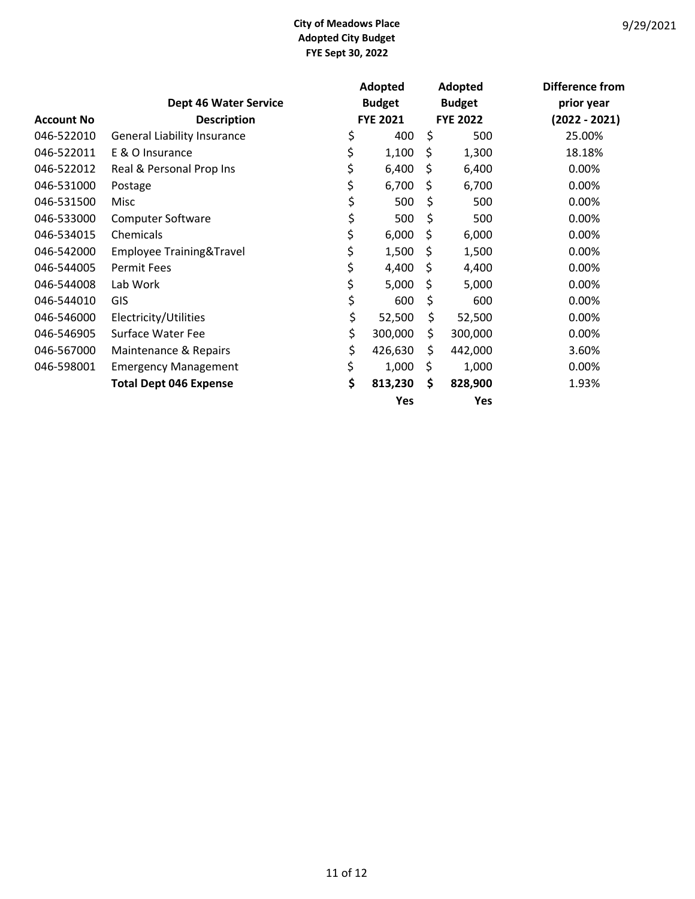|                   |                                    |                 | Adopted       |                 | Adopted       | Difference from |
|-------------------|------------------------------------|-----------------|---------------|-----------------|---------------|-----------------|
|                   | <b>Dept 46 Water Service</b>       |                 | <b>Budget</b> |                 | <b>Budget</b> | prior year      |
| <b>Account No</b> | <b>Description</b>                 | <b>FYE 2021</b> |               | <b>FYE 2022</b> |               | $(2022 - 2021)$ |
| 046-522010        | <b>General Liability Insurance</b> | \$              | 400           | \$              | 500           | 25.00%          |
| 046-522011        | E & O Insurance                    | \$              | 1,100         | \$              | 1,300         | 18.18%          |
| 046-522012        | Real & Personal Prop Ins           | \$              | 6,400         | \$              | 6,400         | 0.00%           |
| 046-531000        | Postage                            | \$              | 6,700         | \$              | 6,700         | 0.00%           |
| 046-531500        | Misc                               | \$              | 500           | \$              | 500           | 0.00%           |
| 046-533000        | <b>Computer Software</b>           | \$              | 500           | \$              | 500           | 0.00%           |
| 046-534015        | Chemicals                          | \$              | 6,000         | \$              | 6,000         | 0.00%           |
| 046-542000        | Employee Training&Travel           | \$              | 1,500         | \$              | 1,500         | 0.00%           |
| 046-544005        | <b>Permit Fees</b>                 | \$              | 4,400         | \$              | 4,400         | 0.00%           |
| 046-544008        | Lab Work                           | \$              | 5,000         | \$              | 5,000         | 0.00%           |
| 046-544010        | GIS                                | \$              | 600           | \$              | 600           | 0.00%           |
| 046-546000        | Electricity/Utilities              | \$              | 52,500        | \$              | 52,500        | 0.00%           |
| 046-546905        | Surface Water Fee                  | \$              | 300,000       | \$              | 300,000       | 0.00%           |
| 046-567000        | Maintenance & Repairs              | \$              | 426,630       | \$              | 442,000       | 3.60%           |
| 046-598001        | <b>Emergency Management</b>        | \$              | 1,000         | \$              | 1,000         | 0.00%           |
|                   | <b>Total Dept 046 Expense</b>      | \$              | 813,230       | \$              | 828,900       | 1.93%           |
|                   |                                    |                 | Yes           |                 | Yes           |                 |